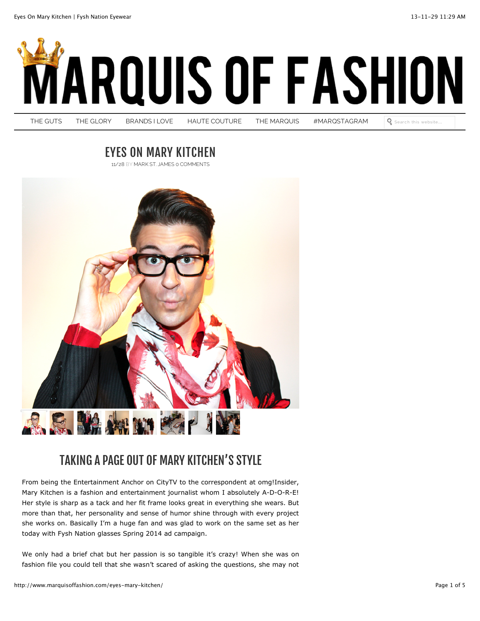



11/28 BY MARK ST. JAMES 0 COMMENTS



## TAKING A PAGE OUT OF MARY KITCHEN'S STYLE

From being the Entertainment Anchor on CityTV to the correspondent at omg!Insider, Mary Kitchen is a fashion and entertainment journalist whom I absolutely A-D-O-R-E! Her style is sharp as a tack and her fit frame looks great in everything she wears. But more than that, her personality and sense of humor shine through with every project she works on. Basically I'm a huge fan and was glad to work on the same set as her today with Fysh Nation glasses Spring 2014 ad campaign.

We only had a brief chat but her passion is so tangible it's crazy! When she was on fashion file you could tell that she wasn't scared of asking the questions, she may not